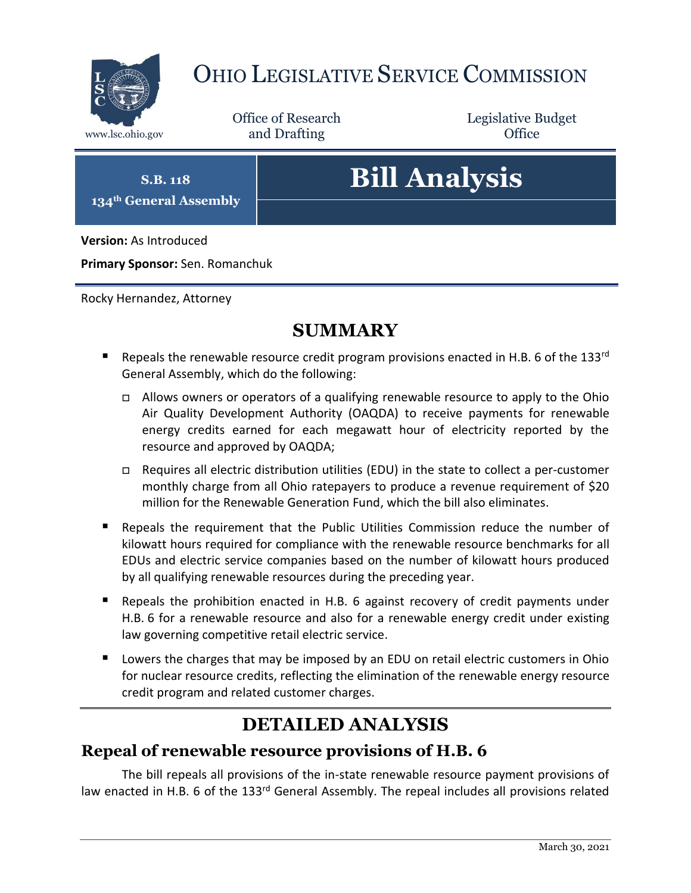

# OHIO LEGISLATIVE SERVICE COMMISSION

Office of Research www.lsc.ohio.gov **and Drafting Office** 

Legislative Budget

**S.B. 118 134th General Assembly**

# **Bill Analysis**

**Version:** As Introduced

**Primary Sponsor:** Sen. Romanchuk

Rocky Hernandez, Attorney

# **SUMMARY**

- Repeals the renewable resource credit program provisions enacted in H.B. 6 of the 133rd General Assembly, which do the following:
	- Allows owners or operators of a qualifying renewable resource to apply to the Ohio Air Quality Development Authority (OAQDA) to receive payments for renewable energy credits earned for each megawatt hour of electricity reported by the resource and approved by OAQDA;
	- Requires all electric distribution utilities (EDU) in the state to collect a per-customer monthly charge from all Ohio ratepayers to produce a revenue requirement of \$20 million for the Renewable Generation Fund, which the bill also eliminates.
- Repeals the requirement that the Public Utilities Commission reduce the number of kilowatt hours required for compliance with the renewable resource benchmarks for all EDUs and electric service companies based on the number of kilowatt hours produced by all qualifying renewable resources during the preceding year.
- Repeals the prohibition enacted in H.B. 6 against recovery of credit payments under H.B. 6 for a renewable resource and also for a renewable energy credit under existing law governing competitive retail electric service.
- **Lowers the charges that may be imposed by an EDU on retail electric customers in Ohio** for nuclear resource credits, reflecting the elimination of the renewable energy resource credit program and related customer charges.

# **DETAILED ANALYSIS**

#### **Repeal of renewable resource provisions of H.B. 6**

The bill repeals all provisions of the in-state renewable resource payment provisions of law enacted in H.B. 6 of the 133<sup>rd</sup> General Assembly. The repeal includes all provisions related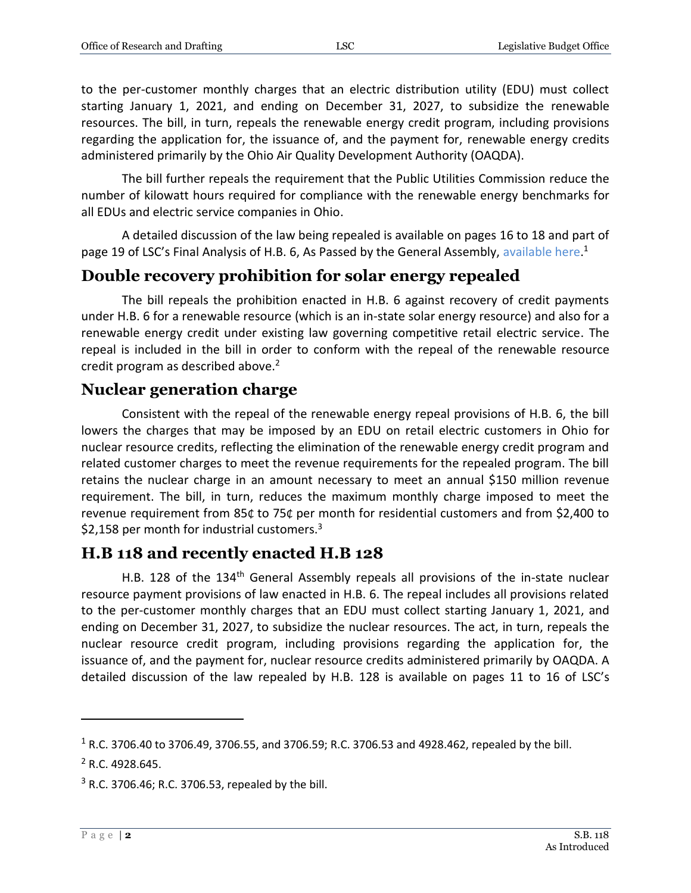to the per-customer monthly charges that an electric distribution utility (EDU) must collect starting January 1, 2021, and ending on December 31, 2027, to subsidize the renewable resources. The bill, in turn, repeals the renewable energy credit program, including provisions regarding the application for, the issuance of, and the payment for, renewable energy credits administered primarily by the Ohio Air Quality Development Authority (OAQDA).

The bill further repeals the requirement that the Public Utilities Commission reduce the number of kilowatt hours required for compliance with the renewable energy benchmarks for all EDUs and electric service companies in Ohio.

A detailed discussion of the law being repealed is available on pages 16 to 18 and part of page 19 of LSC's Final Analysis of H.B. 6, As Passed by the General Assembly, [available here.](https://www.legislature.ohio.gov/download?key=13060&format=pdf)<sup>1</sup>

#### **Double recovery prohibition for solar energy repealed**

The bill repeals the prohibition enacted in H.B. 6 against recovery of credit payments under H.B. 6 for a renewable resource (which is an in-state solar energy resource) and also for a renewable energy credit under existing law governing competitive retail electric service. The repeal is included in the bill in order to conform with the repeal of the renewable resource credit program as described above.<sup>2</sup>

#### **Nuclear generation charge**

Consistent with the repeal of the renewable energy repeal provisions of H.B. 6, the bill lowers the charges that may be imposed by an EDU on retail electric customers in Ohio for nuclear resource credits, reflecting the elimination of the renewable energy credit program and related customer charges to meet the revenue requirements for the repealed program. The bill retains the nuclear charge in an amount necessary to meet an annual \$150 million revenue requirement. The bill, in turn, reduces the maximum monthly charge imposed to meet the revenue requirement from 85₵ to 75₵ per month for residential customers and from \$2,400 to \$2,158 per month for industrial customers. $3$ 

## **H.B 118 and recently enacted H.B 128**

H.B. 128 of the 134<sup>th</sup> General Assembly repeals all provisions of the in-state nuclear resource payment provisions of law enacted in H.B. 6. The repeal includes all provisions related to the per-customer monthly charges that an EDU must collect starting January 1, 2021, and ending on December 31, 2027, to subsidize the nuclear resources. The act, in turn, repeals the nuclear resource credit program, including provisions regarding the application for, the issuance of, and the payment for, nuclear resource credits administered primarily by OAQDA. A detailed discussion of the law repealed by H.B. 128 is available on pages 11 to 16 of LSC's

 $\overline{a}$ 

<sup>1</sup> R.C. 3706.40 to 3706.49, 3706.55, and 3706.59; R.C. 3706.53 and 4928.462, repealed by the bill.

 $2$  R.C. 4928.645.

 $3$  R.C. 3706.46; R.C. 3706.53, repealed by the bill.